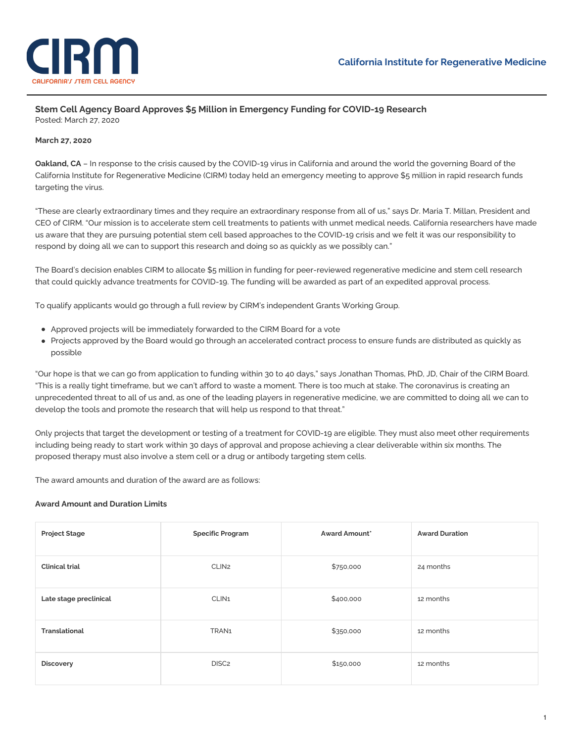

## **Stem Cell Agency Board Approves \$5 Million in Emergency Funding for COVID-19 Research** Posted: March 27, 2020

### **March 27, 2020**

**Oakland, CA** – In response to the crisis caused by the COVID-19 virus in California and around the world the governing Board of the California Institute for Regenerative Medicine (CIRM) today held an emergency meeting to approve \$5 million in rapid research funds targeting the virus.

"These are clearly extraordinary times and they require an extraordinary response from all of us," says Dr. Maria T. Millan, President and CEO of CIRM. "Our mission is to accelerate stem cell treatments to patients with unmet medical needs. California researchers have made us aware that they are pursuing potential stem cell based approaches to the COVID-19 crisis and we felt it was our responsibility to respond by doing all we can to support this research and doing so as quickly as we possibly can."

The Board's decision enables CIRM to allocate \$5 million in funding for peer-reviewed regenerative medicine and stem cell research that could quickly advance treatments for COVID-19. The funding will be awarded as part of an expedited approval process.

To qualify applicants would go through a full review by CIRM's independent Grants Working Group.

- Approved projects will be immediately forwarded to the CIRM Board for a vote
- Projects approved by the Board would go through an accelerated contract process to ensure funds are distributed as quickly as possible

"Our hope is that we can go from application to funding within 30 to 40 days," says Jonathan Thomas, PhD, JD, Chair of the CIRM Board. "This is a really tight timeframe, but we can't afford to waste a moment. There is too much at stake. The coronavirus is creating an unprecedented threat to all of us and, as one of the leading players in regenerative medicine, we are committed to doing all we can to develop the tools and promote the research that will help us respond to that threat."

Only projects that target the development or testing of a treatment for COVID-19 are eligible. They must also meet other requirements including being ready to start work within 30 days of approval and propose achieving a clear deliverable within six months. The proposed therapy must also involve a stem cell or a drug or antibody targeting stem cells.

The award amounts and duration of the award are as follows:

### **Award Amount and Duration Limits**

| <b>Project Stage</b>   | <b>Specific Program</b> | <b>Award Amount</b> * | <b>Award Duration</b> |
|------------------------|-------------------------|-----------------------|-----------------------|
| <b>Clinical trial</b>  | CLIN <sub>2</sub>       | \$750,000             | 24 months             |
| Late stage preclinical | CLIN <sub>1</sub>       | \$400,000             | 12 months             |
| <b>Translational</b>   | TRAN1                   | \$350,000             | 12 months             |
| <b>Discovery</b>       | DISC <sub>2</sub>       | \$150,000             | 12 months             |